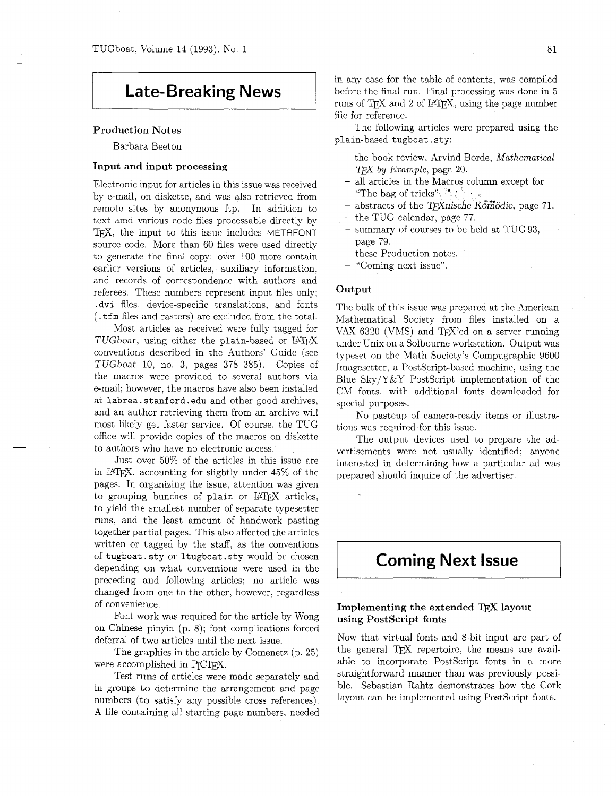## **Late-Breaking News**

#### Production Notes

Barbara Beeton

## Input and input processing

Electronic input for articles in this issue was received by e-mail, on diskette, and was also retrieved from remote sites by anonymous ftp. In addition to text amd various code files processable directly by TEX, the input to this issue includes METAFONT source code. More than 60 files were used directly to generate the final copy; over 100 more contain earlier versions of articles, auxiliary information. and records of correspondence with authors and referees. These numbers represent input files only: . dvi files, device-specific translations. and fonts (.tfm files and rasters) are excluded from the total.

Most articles as received were fully tagged for TUGboat, using either the plain-based or LATFX conventions described in the Authors' Guide (see TUGboat 10, no. 3, pages 378-385). Copies of the macros were provided to several authors via e-mail; however, the macros have also been installed at labrea.stanford.edu and other good archives, and an author retrieving them from an archive will most likely get faster service. Of course, the TUG office will provide copies of the macros on diskette to authors who have no electronic access.

Just over 50% of the articles in this issue are in LATEX. accounting for slightly under 45% of the pages. In organizing the issue, attention was given to grouping bunches of plain or IATFX articles. to yield the smallest number of separate typesetter runs, and the least amount of handwork pasting together partial pages. This also affected the articles written or tagged by the staff, as the conventions of tugboat. sty or ltugboat . sty would be chosen depending on what conventions were used in the preceding and following articles; no article was changed from one to the other, however. regardless of convenience.

Font work was required for the article by Wong on Chinese pinyin (p. 8); font complications forced

deferral of two articles until the next issue.<br>The graphics in the article by Comenet:<br>were accomplished in P<sub>I</sub>CI<sub>E</sub>X.<br>Test runs of articles were made separat The graphics in the article by Comenetz (p. 25)

Test runs of articles were made separately and in groups to determine the arrangement and page numbers (to satisfy any possible cross references). A file containing all starting page numbers, needed in any case for the table of contents, was compiled before the final run. Final processing was done in 5 runs of TFX and 2 of IATFX, using the page number file for reference.

The following articles were prepared using the plain-based tugboat. sty:

- $-$  the book review. Arvind Borde, *Mathematical T<sub>FX</sub>* by *Example*, page 20.
- all articles in the Macros column except for "The bag of tricks".  $\mathbb{Z}$
- abstracts of the T<sub>E</sub>Xnische Komödie, page 71.
- the TUG calendar, page 77.
- summary of courses to be held at TUG 93, page 79.
- these Production notes.
- "Coming next issue".

#### **Output**

The bulk of this issue was prepared at the American Mathematical Society from files installed on a VAX 6320 (VMS) and TFX'ed on a server running under Unix on a Solbourne workstation. Output was typeset on the Math Society's Compugraphic 9600 Imagesetter, a PostScript-based machine, using the Blue Sky/Y&Y PostScript implementation of the CM fonts, with additional fonts downloaded for special purposes.

No pasteup of camera-ready items or illustrations was required for this issue.

The output devices used to prepare the advertisements were not usually identified; anyone interested in determining how a particular ad was prepared should inquire of the advertiser.

# **Coming Next Issue**

#### Implementing the extended TEX layout using PostScript fonts

Now that virtual fonts and 8-bit input are part of the general TFX repertoire, the means are available to incorporate PostScript fonts in a more straightforward manner than was previously possible. Sebastian Rahtz demonstrates how the Cork layout can be implemented using PostScript fonts.